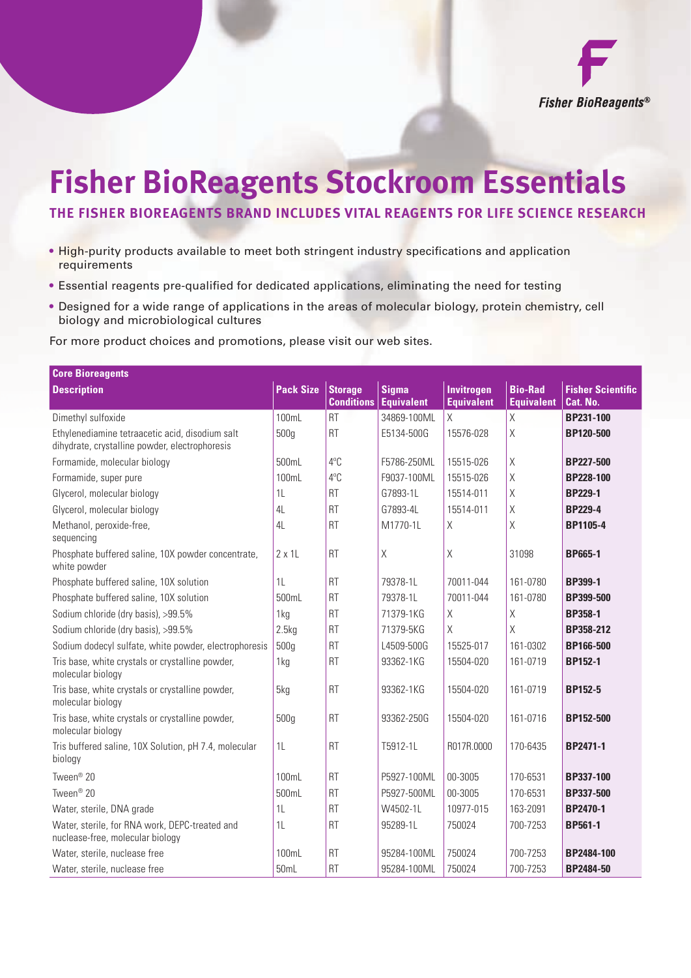

## **Fisher BioReagents Stockroom Essentials**

## **THE FISHER BIOREAGENTS BRAND INCLUDES VITAL REAGENTS FOR LIFE SCIENCE RESEARCH**

- High-purity products available to meet both stringent industry specifications and application requirements
- Essential reagents pre-qualified for dedicated applications, eliminating the need for testing
- Designed for a wide range of applications in the areas of molecular biology, protein chemistry, cell biology and microbiological cultures

For more product choices and promotions, please visit our web sites.

| <b>Core Bioreagents</b>                                                                           |                  |                                     |                                   |                                        |                                     |                                      |  |  |
|---------------------------------------------------------------------------------------------------|------------------|-------------------------------------|-----------------------------------|----------------------------------------|-------------------------------------|--------------------------------------|--|--|
| <b>Description</b>                                                                                | <b>Pack Size</b> | <b>Storage</b><br><b>Conditions</b> | <b>Sigma</b><br><b>Equivalent</b> | <b>Invitrogen</b><br><b>Equivalent</b> | <b>Bio-Rad</b><br><b>Equivalent</b> | <b>Fisher Scientific</b><br>Cat. No. |  |  |
| Dimethyl sulfoxide                                                                                | 100mL            | <b>RT</b>                           | 34869-100ML                       | X                                      | $\times$                            | BP231-100                            |  |  |
| Ethylenediamine tetraacetic acid, disodium salt<br>dihydrate, crystalline powder, electrophoresis | 500g             | <b>RT</b>                           | E5134-500G                        | 15576-028                              | $\mathsf X$                         | BP120-500                            |  |  |
| Formamide, molecular biology                                                                      | 500mL            | 4°C                                 | F5786-250ML                       | 15515-026                              | Χ                                   | <b>BP227-500</b>                     |  |  |
| Formamide, super pure                                                                             | 100mL            | 4°C                                 | F9037-100ML                       | 15515-026                              | $\mathsf X$                         | <b>BP228-100</b>                     |  |  |
| Glycerol, molecular biology                                                                       | 1L               | <b>RT</b>                           | G7893-1L                          | 15514-011                              | $\chi$                              | <b>BP229-1</b>                       |  |  |
| Glycerol, molecular biology                                                                       | 4L               | <b>RT</b>                           | G7893-4L                          | 15514-011                              | $\mathsf X$                         | <b>BP229-4</b>                       |  |  |
| Methanol, peroxide-free,<br>sequencing                                                            | 4L               | <b>RT</b>                           | M1770-1L                          | Χ                                      | $\mathsf X$                         | BP1105-4                             |  |  |
| Phosphate buffered saline, 10X powder concentrate,<br>white powder                                | $2 \times 11$    | <b>RT</b>                           | X                                 | $\mathsf X$                            | 31098                               | <b>BP665-1</b>                       |  |  |
| Phosphate buffered saline, 10X solution                                                           | 1L               | <b>RT</b>                           | 79378-1L                          | 70011-044                              | 161-0780                            | BP399-1                              |  |  |
| Phosphate buffered saline, 10X solution                                                           | 500mL            | <b>RT</b>                           | 79378-1L                          | 70011-044                              | 161-0780                            | BP399-500                            |  |  |
| Sodium chloride (dry basis), >99.5%                                                               | 1kg              | <b>RT</b>                           | 71379-1KG                         | $\mathsf X$                            | $\mathsf X$                         | <b>BP358-1</b>                       |  |  |
| Sodium chloride (dry basis), >99.5%                                                               | 2.5kg            | <b>RT</b>                           | 71379-5KG                         | X                                      | X                                   | BP358-212                            |  |  |
| Sodium dodecyl sulfate, white powder, electrophoresis                                             | 500g             | <b>RT</b>                           | L4509-500G                        | 15525-017                              | 161-0302                            | BP166-500                            |  |  |
| Tris base, white crystals or crystalline powder,<br>molecular biology                             | 1kg              | <b>RT</b>                           | 93362-1KG                         | 15504-020                              | 161-0719                            | <b>BP152-1</b>                       |  |  |
| Tris base, white crystals or crystalline powder,<br>molecular biology                             | 5kg              | <b>RT</b>                           | 93362-1KG                         | 15504-020                              | 161-0719                            | <b>BP152-5</b>                       |  |  |
| Tris base, white crystals or crystalline powder,<br>molecular biology                             | 500g             | <b>RT</b>                           | 93362-250G                        | 15504-020                              | 161-0716                            | BP152-500                            |  |  |
| Tris buffered saline, 10X Solution, pH 7.4, molecular<br>biology                                  | 1L               | <b>RT</b>                           | T5912-1L                          | R017R.0000                             | 170-6435                            | BP2471-1                             |  |  |
| Tween <sup>®</sup> 20                                                                             | 100mL            | <b>RT</b>                           | P5927-100ML                       | 00-3005                                | 170-6531                            | BP337-100                            |  |  |
| Tween <sup>®</sup> 20                                                                             | 500mL            | <b>RT</b>                           | P5927-500ML                       | 00-3005                                | 170-6531                            | BP337-500                            |  |  |
| Water, sterile, DNA grade                                                                         | 1 <sub>L</sub>   | <b>RT</b>                           | W4502-1L                          | 10977-015                              | 163-2091                            | <b>BP2470-1</b>                      |  |  |
| Water, sterile, for RNA work, DEPC-treated and<br>nuclease-free, molecular biology                | 1 <sup>L</sup>   | <b>RT</b>                           | 95289-1L                          | 750024                                 | 700-7253                            | BP561-1                              |  |  |
| Water, sterile, nuclease free                                                                     | 100mL            | <b>RT</b>                           | 95284-100ML                       | 750024                                 | 700-7253                            | BP2484-100                           |  |  |
| Water, sterile, nuclease free                                                                     | 50mL             | <b>RT</b>                           | 95284-100ML                       | 750024                                 | 700-7253                            | BP2484-50                            |  |  |